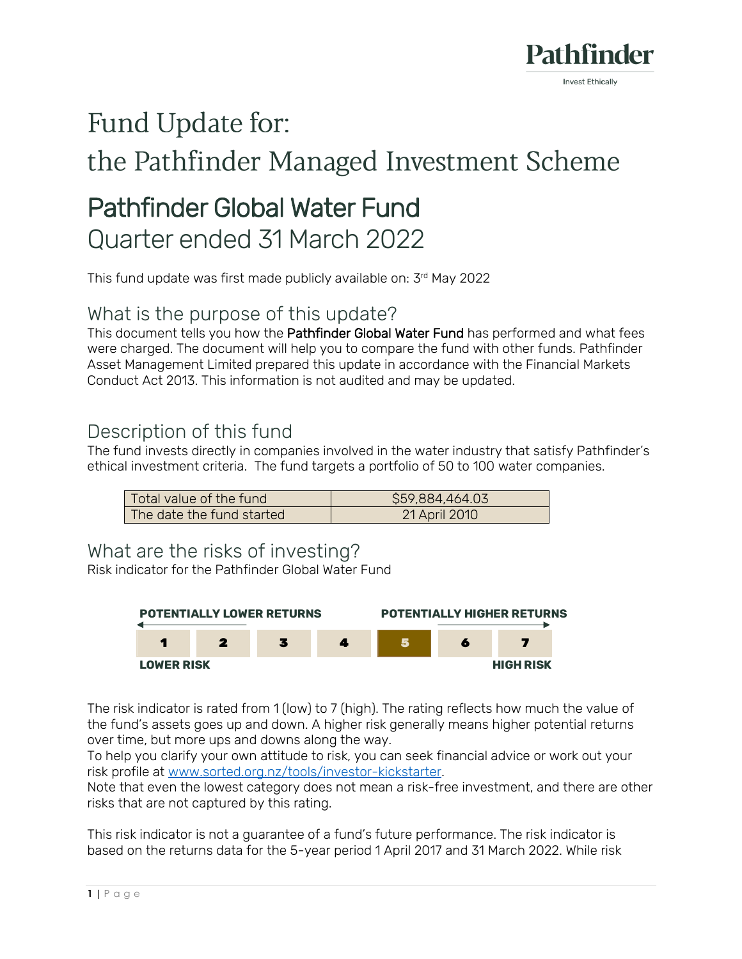

# Fund Update for:

# the Pathfinder Managed Investment Scheme

# Pathfinder Global Water Fund Quarter ended 31 March 2022

This fund update was first made publicly available on: 3 rd May 2022

### What is the purpose of this update?

This document tells you how the Pathfinder Global Water Fund has performed and what fees were charged. The document will help you to compare the fund with other funds. Pathfinder Asset Management Limited prepared this update in accordance with the Financial Markets Conduct Act 2013. This information is not audited and may be updated.

### Description of this fund

The fund invests directly in companies involved in the water industry that satisfy Pathfinder's ethical investment criteria. The fund targets a portfolio of 50 to 100 water companies.

| Total value of the fund   | \$59,884,464.03 |
|---------------------------|-----------------|
| The date the fund started | 21 April 2010   |

#### What are the risks of investing?

Risk indicator for the Pathfinder Global Water Fund



The risk indicator is rated from 1 (low) to 7 (high). The rating reflects how much the value of the fund's assets goes up and down. A higher risk generally means higher potential returns over time, but more ups and downs along the way.

To help you clarify your own attitude to risk, you can seek financial advice or work out your risk profile at [www.sorted.org.nz/tools/investor-kickstarter.](http://www.sorted.org.nz/tools/investor-kickstarter)

Note that even the lowest category does not mean a risk-free investment, and there are other risks that are not captured by this rating.

This risk indicator is not a guarantee of a fund's future performance. The risk indicator is based on the returns data for the 5-year period 1 April 2017 and 31 March 2022. While risk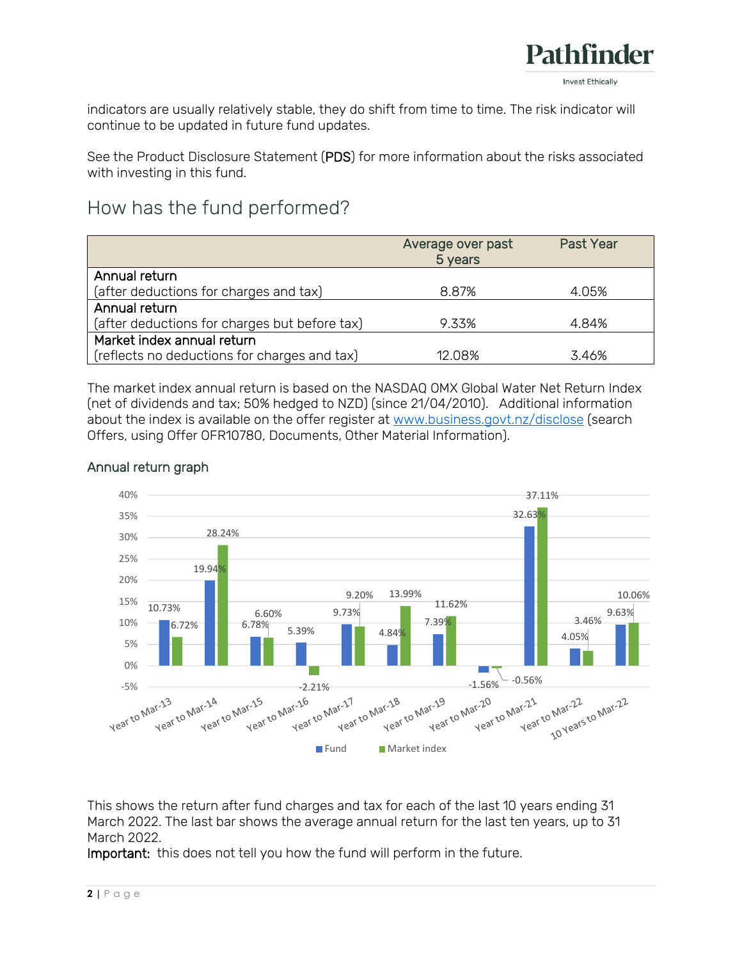

indicators are usually relatively stable, they do shift from time to time. The risk indicator will continue to be updated in future fund updates.

See the Product Disclosure Statement (PDS) for more information about the risks associated with investing in this fund.

# How has the fund performed?

|                                               | Average over past<br>5 years | <b>Past Year</b> |
|-----------------------------------------------|------------------------------|------------------|
| Annual return                                 |                              |                  |
| (after deductions for charges and tax)        | 8.87%                        | 4.05%            |
| Annual return                                 |                              |                  |
| (after deductions for charges but before tax) | 9.33%                        | 4.84%            |
| Market index annual return                    |                              |                  |
| (reflects no deductions for charges and tax)  | 12 Q <sub>8</sub> %          | 3.46%            |

The market index annual return is based on the NASDAQ OMX Global Water Net Return Index (net of dividends and tax; 50% hedged to NZD) (since 21/04/2010). Additional information about the index is available on the offer register at [www.business.govt.nz/disclose](http://www.business.govt.nz/disclose) (search Offers, using Offer OFR10780, Documents, Other Material Information).



#### Annual return graph

This shows the return after fund charges and tax for each of the last 10 years ending 31 March 2022. The last bar shows the average annual return for the last ten years, up to 31 March 2022.

Important: this does not tell you how the fund will perform in the future.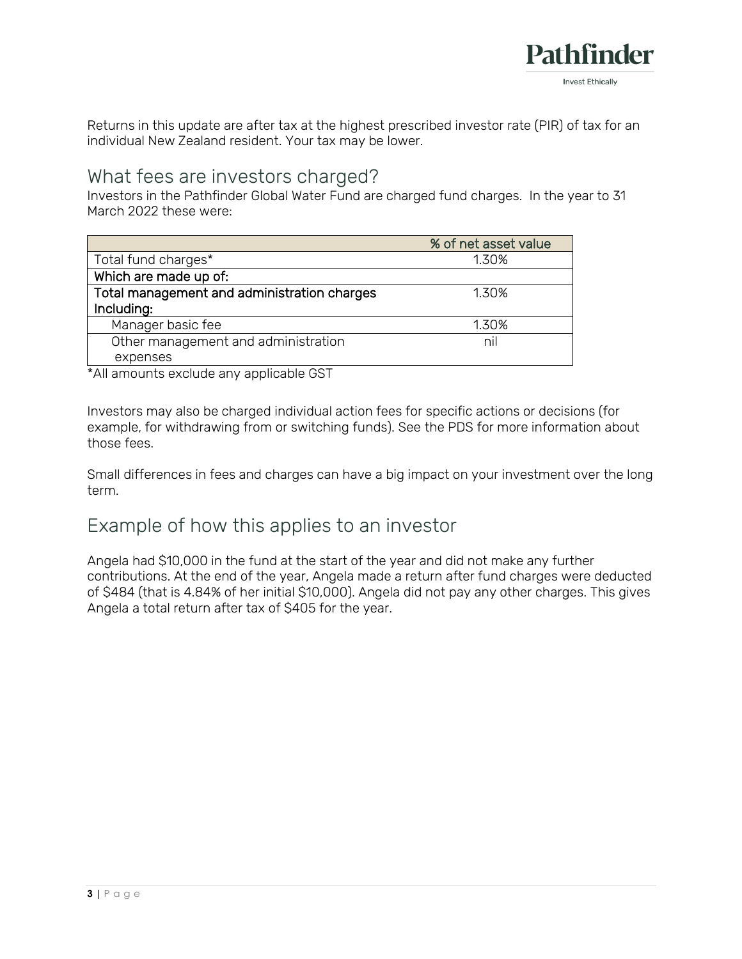

Returns in this update are after tax at the highest prescribed investor rate (PIR) of tax for an individual New Zealand resident. Your tax may be lower.

#### What fees are investors charged?

Investors in the Pathfinder Global Water Fund are charged fund charges. In the year to 31 March 2022 these were:

|                                             | % of net asset value |
|---------------------------------------------|----------------------|
| Total fund charges*                         | 1.30%                |
| Which are made up of:                       |                      |
| Total management and administration charges | 1.30%                |
| Including:                                  |                      |
| Manager basic fee                           | 1.30%                |
| Other management and administration         | nil                  |
| expenses                                    |                      |

\*All amounts exclude any applicable GST

Investors may also be charged individual action fees for specific actions or decisions (for example, for withdrawing from or switching funds). See the PDS for more information about those fees.

Small differences in fees and charges can have a big impact on your investment over the long term.

### Example of how this applies to an investor

Angela had \$10,000 in the fund at the start of the year and did not make any further contributions. At the end of the year, Angela made a return after fund charges were deducted of \$484 (that is 4.84% of her initial \$10,000). Angela did not pay any other charges. This gives Angela a total return after tax of \$405 for the year.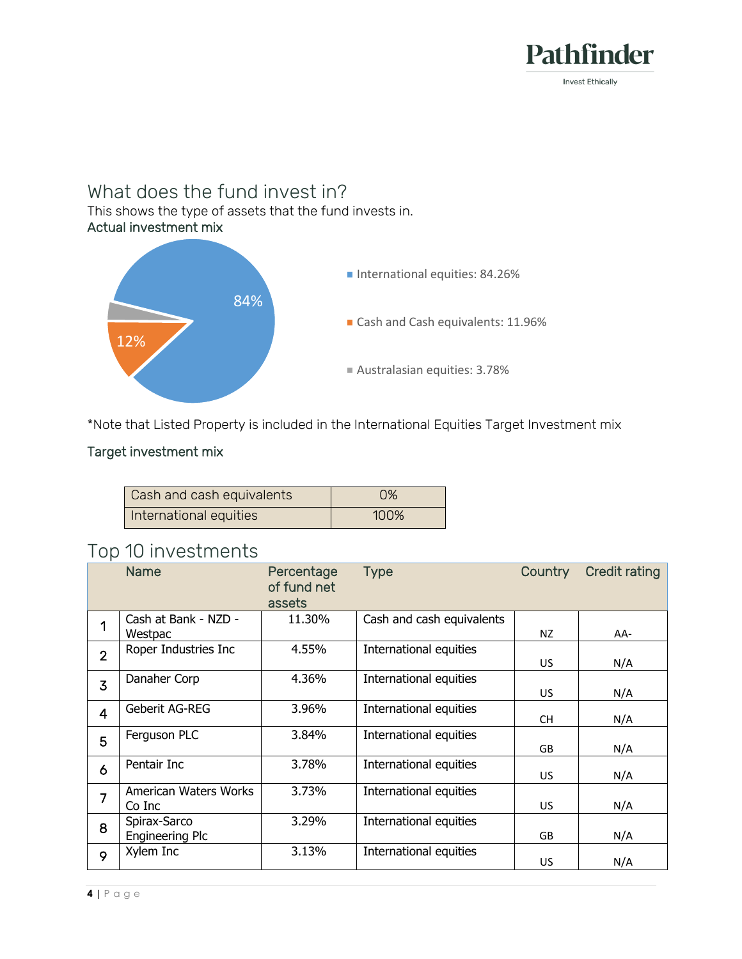

# What does the fund invest in?

This shows the type of assets that the fund invests in. Actual investment mix



\*Note that Listed Property is included in the International Equities Target Investment mix

#### Target investment mix

| Cash and cash equivalents | O%   |  |  |
|---------------------------|------|--|--|
| International equities    | 100% |  |  |

# Top 10 investments

|                | <b>Name</b>                            | Percentage<br>of fund net<br>assets | <b>Type</b>               | Country   | <b>Credit rating</b> |
|----------------|----------------------------------------|-------------------------------------|---------------------------|-----------|----------------------|
| 1              | Cash at Bank - NZD -<br>Westpac        | 11.30%                              | Cash and cash equivalents | NZ        | AA-                  |
| $\overline{2}$ | Roper Industries Inc                   | 4.55%                               | International equities    | US.       | N/A                  |
| $\overline{3}$ | Danaher Corp                           | 4.36%                               | International equities    | <b>US</b> | N/A                  |
| 4              | Geberit AG-REG                         | 3.96%                               | International equities    | <b>CH</b> | N/A                  |
| 5              | Ferguson PLC                           | 3.84%                               | International equities    | <b>GB</b> | N/A                  |
| 6              | Pentair Inc                            | 3.78%                               | International equities    | <b>US</b> | N/A                  |
| $\overline{7}$ | American Waters Works<br>Co Inc        | 3.73%                               | International equities    | US.       | N/A                  |
| 8              | Spirax-Sarco<br><b>Engineering Plc</b> | 3.29%                               | International equities    | <b>GB</b> | N/A                  |
| 9              | Xylem Inc                              | 3.13%                               | International equities    | US.       | N/A                  |